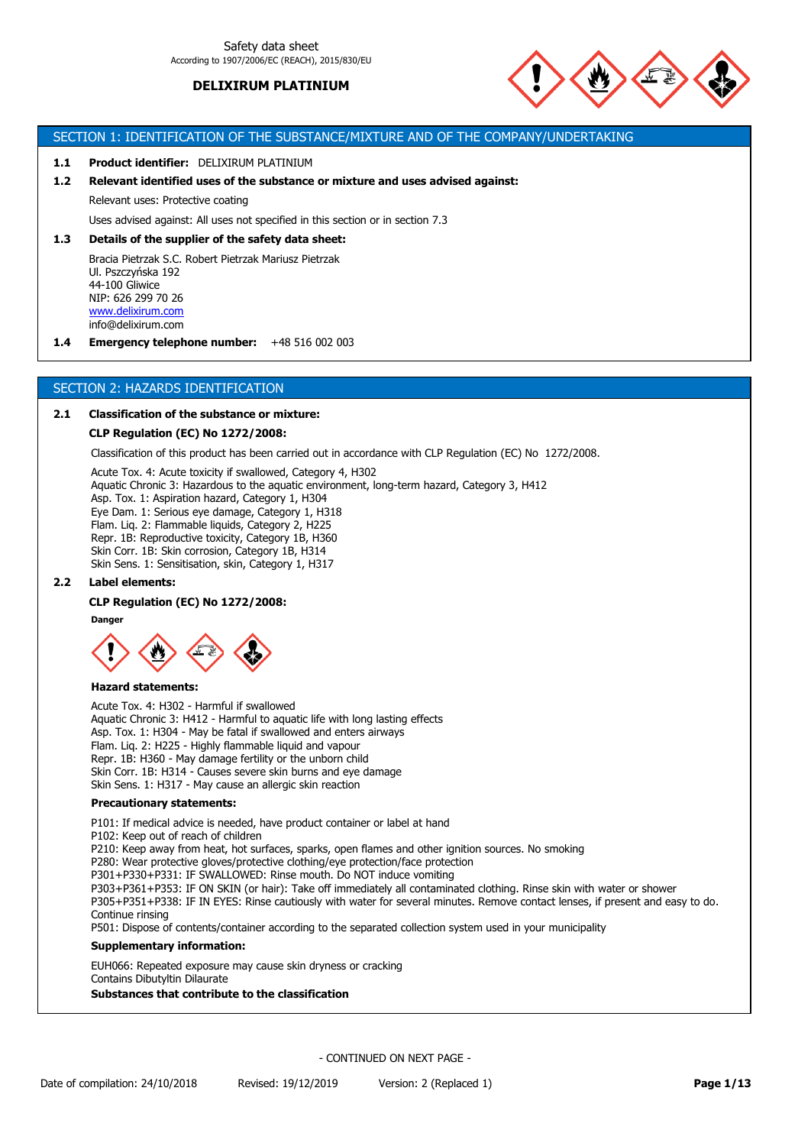

# SECTION 1: IDENTIFICATION OF THE SUBSTANCE/MIXTURE AND OF THE COMPANY/UNDERTAKING

#### **1.1 Product identifier:** DELIXIRUM PLATINIUM

# **1.2 Relevant identified uses of the substance or mixture and uses advised against:**

Relevant uses: Protective coating

Uses advised against: All uses not specified in this section or in section 7.3

#### **1.3 Details of the supplier of the safety data sheet:**

Bracia Pietrzak S.C. Robert Pietrzak Mariusz Pietrzak Ul. Pszczyńska 192 44-100 Gliwice NIP: 626 299 70 26 [www.delixirum.com](http://www.delixirum.com/) info@delixirum.com

**1.4 Emergency telephone number:** +48 516 002 003

## SECTION 2: HAZARDS IDENTIFICATION

#### **2.1 Classification of the substance or mixture:**

#### **CLP Regulation (EC) No 1272/2008:**

Classification of this product has been carried out in accordance with CLP Regulation (EC) No 1272/2008.

Acute Tox. 4: Acute toxicity if swallowed, Category 4, H302 Aquatic Chronic 3: Hazardous to the aquatic environment, long-term hazard, Category 3, H412 Asp. Tox. 1: Aspiration hazard, Category 1, H304 Eye Dam. 1: Serious eye damage, Category 1, H318 Flam. Liq. 2: Flammable liquids, Category 2, H225 Repr. 1B: Reproductive toxicity, Category 1B, H360 Skin Corr. 1B: Skin corrosion, Category 1B, H314 Skin Sens. 1: Sensitisation, skin, Category 1, H317

## **2.2 Label elements:**

## **CLP Regulation (EC) No 1272/2008:**

**Danger**



### **Hazard statements:**

Acute Tox. 4: H302 - Harmful if swallowed Aquatic Chronic 3: H412 - Harmful to aquatic life with long lasting effects Asp. Tox. 1: H304 - May be fatal if swallowed and enters airways Flam. Liq. 2: H225 - Highly flammable liquid and vapour Repr. 1B: H360 - May damage fertility or the unborn child Skin Corr. 1B: H314 - Causes severe skin burns and eye damage Skin Sens. 1: H317 - May cause an allergic skin reaction

### **Precautionary statements:**

P101: If medical advice is needed, have product container or label at hand P102: Keep out of reach of children P210: Keep away from heat, hot surfaces, sparks, open flames and other ignition sources. No smoking P280: Wear protective gloves/protective clothing/eye protection/face protection P301+P330+P331: IF SWALLOWED: Rinse mouth. Do NOT induce vomiting P303+P361+P353: IF ON SKIN (or hair): Take off immediately all contaminated clothing. Rinse skin with water or shower P305+P351+P338: IF IN EYES: Rinse cautiously with water for several minutes. Remove contact lenses, if present and easy to do. Continue rinsing P501: Dispose of contents/container according to the separated collection system used in your municipality **Supplementary information:**

EUH066: Repeated exposure may cause skin dryness or cracking Contains Dibutyltin Dilaurate **Substances that contribute to the classification**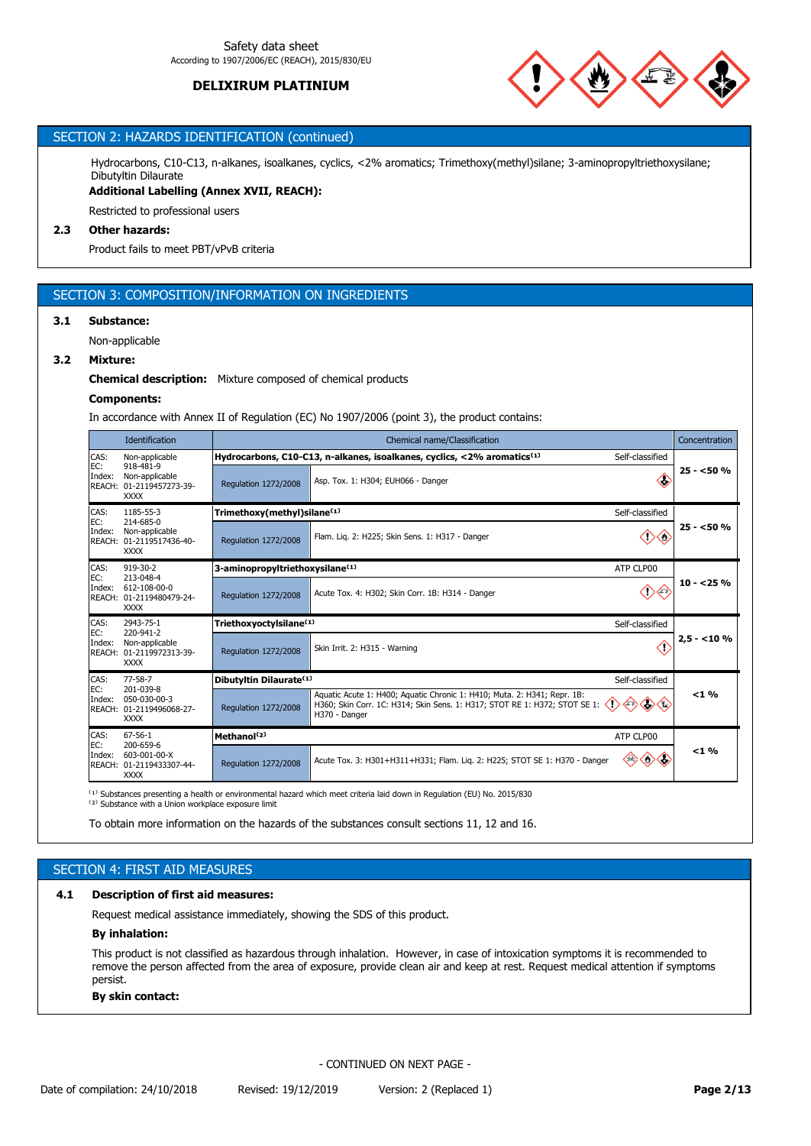

# SECTION 2: HAZARDS IDENTIFICATION (continued)

Hydrocarbons, C10-C13, n-alkanes, isoalkanes, cyclics, <2% aromatics; Trimethoxy(methyl)silane; 3-aminopropyltriethoxysilane; Dibutyltin Dilaurate

**Additional Labelling (Annex XVII, REACH):**

Restricted to professional users

# **2.3 Other hazards:**

Product fails to meet PBT/vPvB criteria

# SECTION 3: COMPOSITION/INFORMATION ON INGREDIENTS

## **3.1 Substance:**

Non-applicable

## **3.2 Mixture:**

## **Chemical description:** Mixture composed of chemical products

#### **Components:**

In accordance with Annex II of Regulation (EC) No 1907/2006 (point 3), the product contains:

|               | <b>Identification</b>                                                  |                                             | Chemical name/Classification<br>Concentration                                                                                                                                                                                    |                                         |  |  |
|---------------|------------------------------------------------------------------------|---------------------------------------------|----------------------------------------------------------------------------------------------------------------------------------------------------------------------------------------------------------------------------------|-----------------------------------------|--|--|
| CAS:          | Non-applicable                                                         |                                             | Hydrocarbons, C10-C13, n-alkanes, isoalkanes, cyclics, <2% aromatics <sup>(1)</sup><br>Self-classified                                                                                                                           |                                         |  |  |
| EC:<br>Index: | 918-481-9<br>Non-applicable<br>REACH: 01-2119457273-39-<br><b>XXXX</b> | Regulation 1272/2008                        | Œ<br>Asp. Tox. 1: H304; EUH066 - Danger                                                                                                                                                                                          | $25 - 50%$                              |  |  |
| CAS:<br>EC:   | 1185-55-3<br>214-685-0                                                 | Trimethoxy(methyl)silane <sup>(1)</sup>     | Self-classified                                                                                                                                                                                                                  |                                         |  |  |
| Index:        | Non-applicable<br>REACH: 01-2119517436-40-<br><b>XXXX</b>              | Regulation 1272/2008                        | <r><br/>√∌∘<br/>Flam. Lig. 2: H225; Skin Sens. 1: H317 - Danger</r>                                                                                                                                                              | $25 - 50%$<br>$10 - 25%$<br>$2,5 - 10%$ |  |  |
| CAS:<br>EC:   | $919 - 30 - 2$<br>213-048-4                                            | 3-aminopropyltriethoxysilane <sup>(1)</sup> | ATP CLP00                                                                                                                                                                                                                        |                                         |  |  |
| Index:        | 612-108-00-0<br>REACH: 01-2119480479-24-<br><b>XXXX</b>                | Regulation 1272/2008                        | ு<br>Acute Tox. 4: H302; Skin Corr. 1B: H314 - Danger                                                                                                                                                                            | $< 1 \%$                                |  |  |
| CAS:          | 2943-75-1<br>220-941-2                                                 | Triethoxyoctylsilane <sup>(1)</sup>         | Self-classified                                                                                                                                                                                                                  |                                         |  |  |
| EC:<br>Index: | Non-applicable<br>REACH: 01-2119972313-39-<br><b>XXXX</b>              | Regulation 1272/2008                        | <r)<br>Skin Irrit. 2: H315 - Warning</r)<br>                                                                                                                                                                                     | < 1 %                                   |  |  |
| CAS:          | $77 - 58 - 7$                                                          | Dibutyltin Dilaurate <sup>(1)</sup>         | Self-classified                                                                                                                                                                                                                  |                                         |  |  |
| EC:<br>Index: | 201-039-8<br>050-030-00-3<br>REACH: 01-2119496068-27-<br><b>XXXX</b>   | Regulation 1272/2008                        | Aquatic Acute 1: H400; Aquatic Chronic 1: H410; Muta. 2: H341; Repr. 1B:<br>$\Leftrightarrow$ $\Leftrightarrow$ $\Leftrightarrow$<br>H360; Skin Corr. 1C: H314; Skin Sens. 1: H317; STOT RE 1: H372; STOT SE 1:<br>H370 - Danger |                                         |  |  |
| CAS:<br>EC:   | $67 - 56 - 1$<br>200-659-6                                             | Methanol <sup>(2)</sup>                     | ATP CLP00                                                                                                                                                                                                                        |                                         |  |  |
| Index:        | 603-001-00-X<br>REACH: 01-2119433307-44-<br><b>XXXX</b>                | Regulation 1272/2008                        | ◇◇<br>Acute Tox. 3: H301+H311+H331; Flam. Lig. 2: H225; STOT SE 1: H370 - Danger                                                                                                                                                 |                                         |  |  |

 $^{(1)}$  Substances presenting a health or environmental hazard which meet criteria laid down in Regulation (EU) No. 2015/830

<sup>(2)</sup> Substance with a Union workplace exposure limit

To obtain more information on the hazards of the substances consult sections 11, 12 and 16.

# SECTION 4: FIRST AID MEASURES

## **4.1 Description of first aid measures:**

Request medical assistance immediately, showing the SDS of this product.

## **By inhalation:**

This product is not classified as hazardous through inhalation. However, in case of intoxication symptoms it is recommended to remove the person affected from the area of exposure, provide clean air and keep at rest. Request medical attention if symptoms persist.

#### **By skin contact:**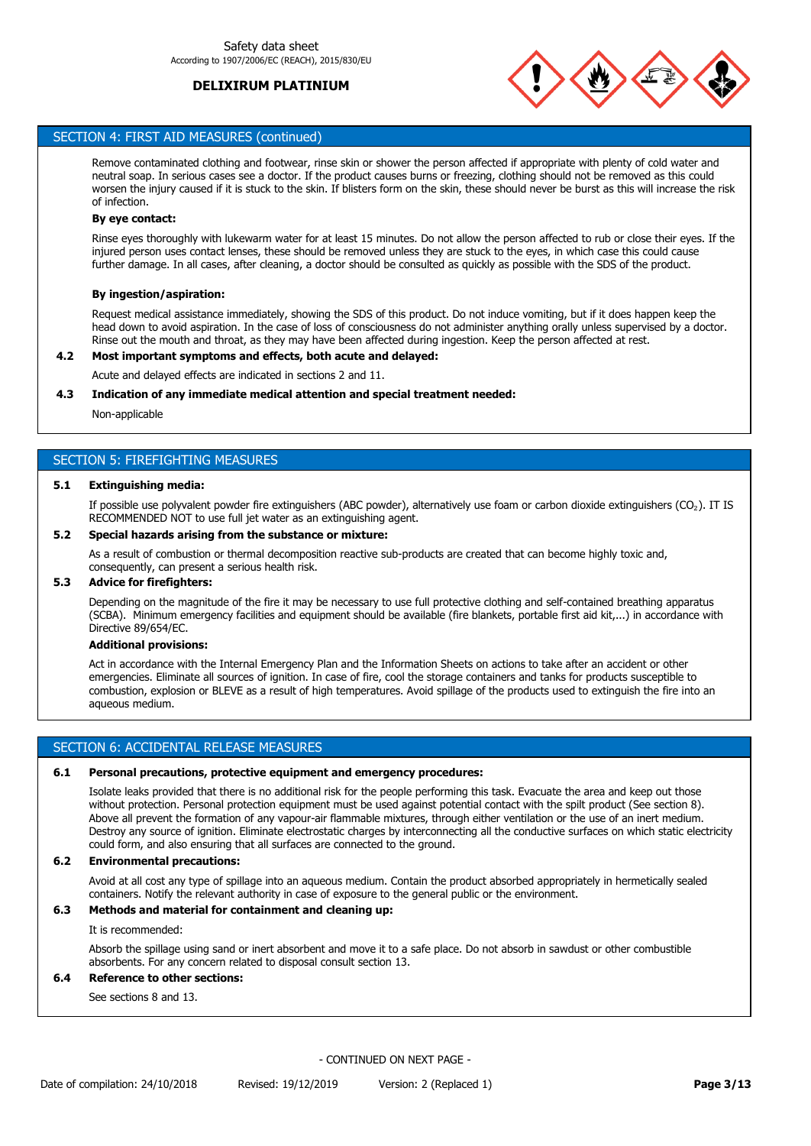

# SECTION 4: FIRST AID MEASURES (continued)

Remove contaminated clothing and footwear, rinse skin or shower the person affected if appropriate with plenty of cold water and neutral soap. In serious cases see a doctor. If the product causes burns or freezing, clothing should not be removed as this could worsen the injury caused if it is stuck to the skin. If blisters form on the skin, these should never be burst as this will increase the risk of infection.

### **By eye contact:**

Rinse eyes thoroughly with lukewarm water for at least 15 minutes. Do not allow the person affected to rub or close their eyes. If the injured person uses contact lenses, these should be removed unless they are stuck to the eyes, in which case this could cause further damage. In all cases, after cleaning, a doctor should be consulted as quickly as possible with the SDS of the product.

## **By ingestion/aspiration:**

Request medical assistance immediately, showing the SDS of this product. Do not induce vomiting, but if it does happen keep the head down to avoid aspiration. In the case of loss of consciousness do not administer anything orally unless supervised by a doctor. Rinse out the mouth and throat, as they may have been affected during ingestion. Keep the person affected at rest.

## **4.2 Most important symptoms and effects, both acute and delayed:**

Acute and delayed effects are indicated in sections 2 and 11.

### **4.3 Indication of any immediate medical attention and special treatment needed:**

Non-applicable

# SECTION 5: FIREFIGHTING MEASURES

## **5.1 Extinguishing media:**

If possible use polyvalent powder fire extinguishers (ABC powder), alternatively use foam or carbon dioxide extinguishers (CO₂). IT IS RECOMMENDED NOT to use full jet water as an extinguishing agent.

## **5.2 Special hazards arising from the substance or mixture:**

As a result of combustion or thermal decomposition reactive sub-products are created that can become highly toxic and, consequently, can present a serious health risk.

### **5.3 Advice for firefighters:**

Depending on the magnitude of the fire it may be necessary to use full protective clothing and self-contained breathing apparatus (SCBA). Minimum emergency facilities and equipment should be available (fire blankets, portable first aid kit,...) in accordance with Directive 89/654/EC.

#### **Additional provisions:**

Act in accordance with the Internal Emergency Plan and the Information Sheets on actions to take after an accident or other emergencies. Eliminate all sources of ignition. In case of fire, cool the storage containers and tanks for products susceptible to combustion, explosion or BLEVE as a result of high temperatures. Avoid spillage of the products used to extinguish the fire into an aqueous medium.

## SECTION 6: ACCIDENTAL RELEASE MEASURES

## **6.1 Personal precautions, protective equipment and emergency procedures:**

Isolate leaks provided that there is no additional risk for the people performing this task. Evacuate the area and keep out those without protection. Personal protection equipment must be used against potential contact with the spilt product (See section 8). Above all prevent the formation of any vapour-air flammable mixtures, through either ventilation or the use of an inert medium. Destroy any source of ignition. Eliminate electrostatic charges by interconnecting all the conductive surfaces on which static electricity could form, and also ensuring that all surfaces are connected to the ground.

### **6.2 Environmental precautions:**

Avoid at all cost any type of spillage into an aqueous medium. Contain the product absorbed appropriately in hermetically sealed containers. Notify the relevant authority in case of exposure to the general public or the environment.

# **6.3 Methods and material for containment and cleaning up:**

It is recommended:

Absorb the spillage using sand or inert absorbent and move it to a safe place. Do not absorb in sawdust or other combustible absorbents. For any concern related to disposal consult section 13.

# **6.4 Reference to other sections:**

See sections 8 and 13.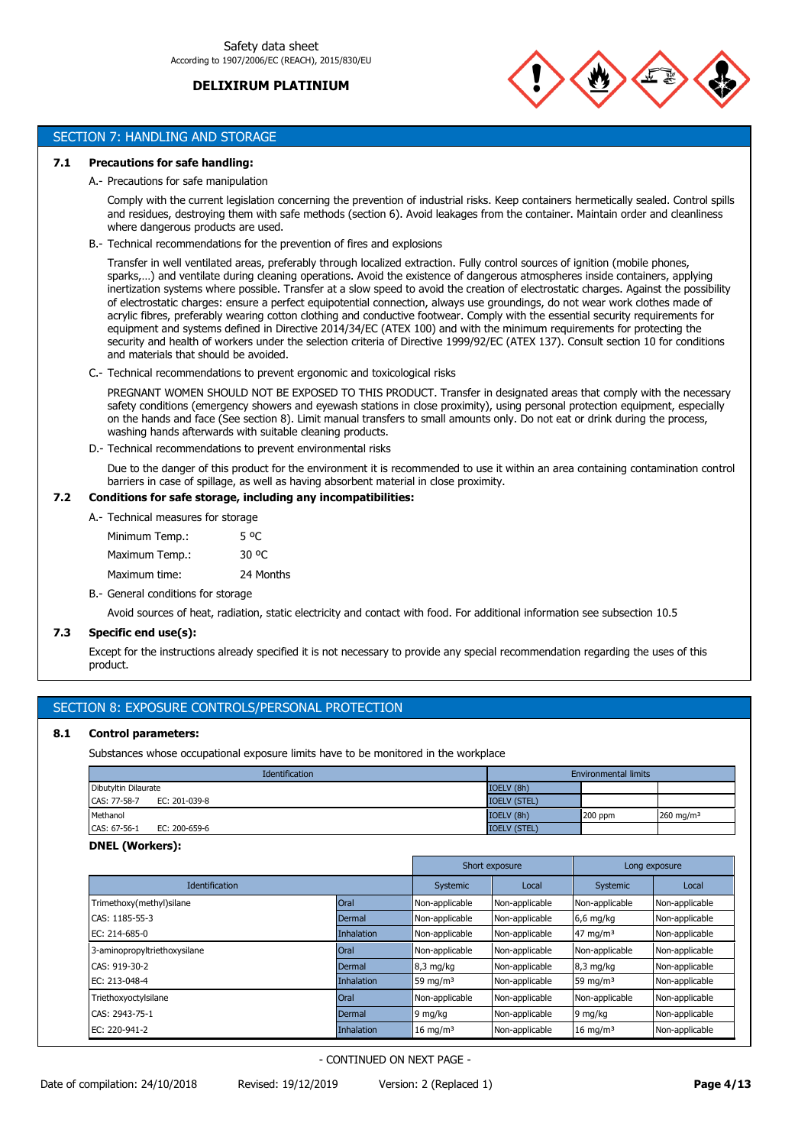

# SECTION 7: HANDLING AND STORAGE

## **7.1 Precautions for safe handling:**

## A.- Precautions for safe manipulation

Comply with the current legislation concerning the prevention of industrial risks. Keep containers hermetically sealed. Control spills and residues, destroying them with safe methods (section 6). Avoid leakages from the container. Maintain order and cleanliness where dangerous products are used.

B.- Technical recommendations for the prevention of fires and explosions

Transfer in well ventilated areas, preferably through localized extraction. Fully control sources of ignition (mobile phones, sparks,…) and ventilate during cleaning operations. Avoid the existence of dangerous atmospheres inside containers, applying inertization systems where possible. Transfer at a slow speed to avoid the creation of electrostatic charges. Against the possibility of electrostatic charges: ensure a perfect equipotential connection, always use groundings, do not wear work clothes made of acrylic fibres, preferably wearing cotton clothing and conductive footwear. Comply with the essential security requirements for equipment and systems defined in Directive 2014/34/EC (ATEX 100) and with the minimum requirements for protecting the security and health of workers under the selection criteria of Directive 1999/92/EC (ATEX 137). Consult section 10 for conditions and materials that should be avoided.

C.- Technical recommendations to prevent ergonomic and toxicological risks

PREGNANT WOMEN SHOULD NOT BE EXPOSED TO THIS PRODUCT. Transfer in designated areas that comply with the necessary safety conditions (emergency showers and eyewash stations in close proximity), using personal protection equipment, especially on the hands and face (See section 8). Limit manual transfers to small amounts only. Do not eat or drink during the process, washing hands afterwards with suitable cleaning products.

D.- Technical recommendations to prevent environmental risks

Due to the danger of this product for the environment it is recommended to use it within an area containing contamination control barriers in case of spillage, as well as having absorbent material in close proximity.

# **7.2 Conditions for safe storage, including any incompatibilities:**

A.- Technical measures for storage

| Minimum Temp.: | 5 °C      |
|----------------|-----------|
| Maximum Temp.: | 30 °C     |
| Maximum time:  | 24 Months |

B.- General conditions for storage

Avoid sources of heat, radiation, static electricity and contact with food. For additional information see subsection 10.5

# **7.3 Specific end use(s):**

Except for the instructions already specified it is not necessary to provide any special recommendation regarding the uses of this product.

# SECTION 8: EXPOSURE CONTROLS/PERSONAL PROTECTION

## **8.1 Control parameters:**

Substances whose occupational exposure limits have to be monitored in the workplace

| Identification                | <b>Environmental limits</b> |         |              |
|-------------------------------|-----------------------------|---------|--------------|
| Dibutyltin Dilaurate          | IOELV (8h)                  |         |              |
| CAS: 77-58-7<br>EC: 201-039-8 | <b>IOELV (STEL)</b>         |         |              |
| Methanol                      | IOELV (8h)                  | 200 ppm | 260 mg/m $3$ |
| CAS: 67-56-1<br>EC: 200-659-6 | <b>IOELV (STEL)</b>         |         |              |

## **DNEL (Workers):**

|                              |                   |                     | Short exposure | Long exposure       |                |
|------------------------------|-------------------|---------------------|----------------|---------------------|----------------|
| <b>Identification</b>        |                   | Systemic            | Local          | Systemic            | Local          |
| Trimethoxy(methyl)silane     | Oral              | Non-applicable      | Non-applicable | Non-applicable      | Non-applicable |
| CAS: 1185-55-3               | Dermal            | Non-applicable      | Non-applicable | $6,6$ mg/kg         | Non-applicable |
| EC: 214-685-0                | <b>Inhalation</b> | Non-applicable      | Non-applicable | 47 mg/m $3$         | Non-applicable |
| 3-aminopropyltriethoxysilane | <b>Oral</b>       | Non-applicable      | Non-applicable | Non-applicable      | Non-applicable |
| CAS: 919-30-2                | Dermal            | $8.3 \text{ mg/kg}$ | Non-applicable | 8,3 mg/kg           | Non-applicable |
| EC: 213-048-4                | <b>Inhalation</b> | 59 mg/m $3$         | Non-applicable | 59 mg/m $3$         | Non-applicable |
| Triethoxyoctylsilane         | <b>Oral</b>       | Non-applicable      | Non-applicable | Non-applicable      | Non-applicable |
| CAS: 2943-75-1               | Dermal            | 9 mg/kg             | Non-applicable | 9 mg/kg             | Non-applicable |
| EC: 220-941-2                | <b>Inhalation</b> | $16 \text{ mg/m}^3$ | Non-applicable | $16 \text{ mg/m}^3$ | Non-applicable |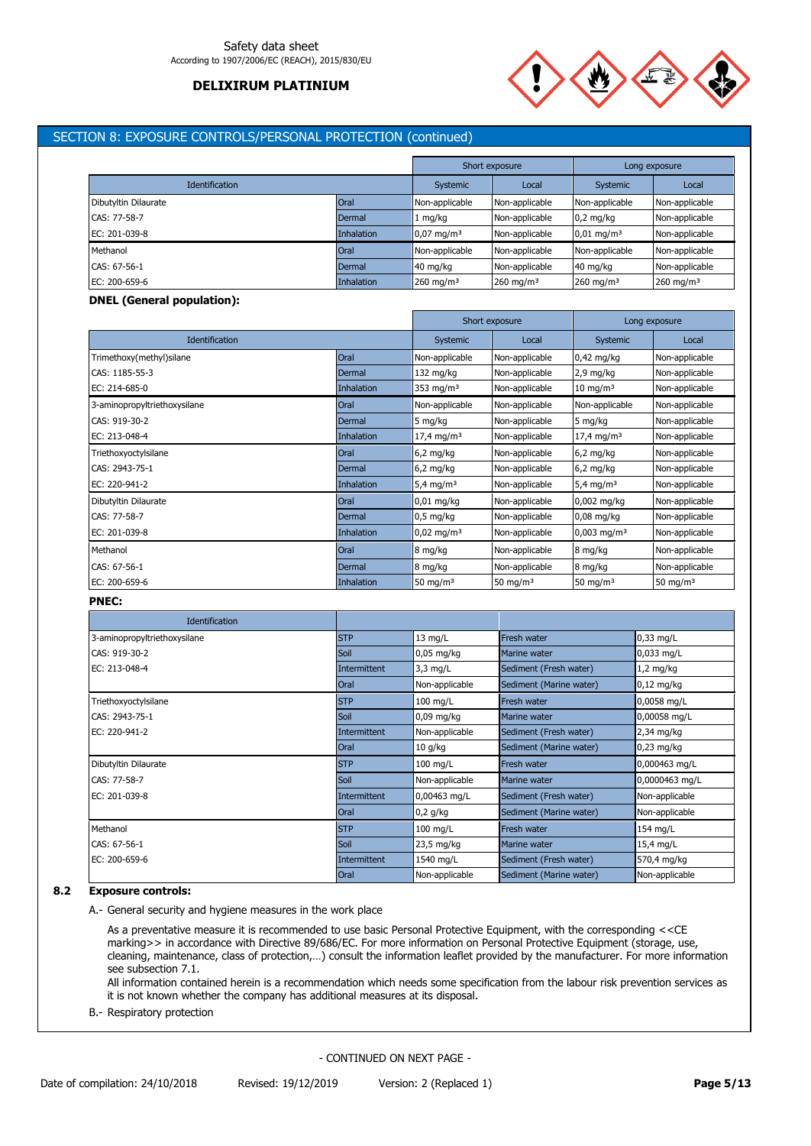

# SECTION 8: EXPOSURE CONTROLS/PERSONAL PROTECTION (continued)

|                       |                   |                        | Short exposure          |                          | Long exposure         |
|-----------------------|-------------------|------------------------|-------------------------|--------------------------|-----------------------|
| <b>Identification</b> |                   | Systemic               | Local                   | Systemic                 | Local                 |
| Dibutyltin Dilaurate  | Oral              | Non-applicable         | Non-applicable          | Non-applicable           | Non-applicable        |
| CAS: 77-58-7          | Dermal            | mg/kg                  | Non-applicable          | $0.2$ mg/kg              | Non-applicable        |
| EC: 201-039-8         | <b>Inhalation</b> | $10,07 \text{ mg/m}^3$ | Non-applicable          | $0.01$ mg/m <sup>3</sup> | Non-applicable        |
| Methanol              | <b>Oral</b>       | Non-applicable         | Non-applicable          | Non-applicable           | Non-applicable        |
| CAS: 67-56-1          | Dermal            | $40 \text{ mg/kg}$     | Non-applicable          | 40 mg/kg                 | Non-applicable        |
| EC: 200-659-6         | <b>Inhalation</b> | 260 mg/m <sup>3</sup>  | $260$ mg/m <sup>3</sup> | 260 mg/m $3$             | 260 mg/m <sup>3</sup> |

### **DNEL (General population):**

|                              |            |                          | Short exposure |                           | Long exposure  |
|------------------------------|------------|--------------------------|----------------|---------------------------|----------------|
| <b>Identification</b>        |            | Systemic                 | Local          | <b>Systemic</b>           | Local          |
| Trimethoxy(methyl)silane     | Oral       | Non-applicable           | Non-applicable | $0.42$ mg/kg              | Non-applicable |
| CAS: 1185-55-3               | Dermal     | $132 \text{ mg/kg}$      | Non-applicable | $2,9$ mg/kg               | Non-applicable |
| EC: 214-685-0                | Inhalation | 353 mg/m <sup>3</sup>    | Non-applicable | $10 \text{ mg/m}^3$       | Non-applicable |
| 3-aminopropyltriethoxysilane | Oral       | Non-applicable           | Non-applicable | Non-applicable            | Non-applicable |
| CAS: 919-30-2                | Dermal     | 5 mg/kg                  | Non-applicable | 5 mg/kg                   | Non-applicable |
| EC: 213-048-4                | Inhalation | $17,4$ mg/m <sup>3</sup> | Non-applicable | $17,4 \text{ mg/m}^3$     | Non-applicable |
| Triethoxyoctylsilane         | Oral       | $6,2$ mg/kg              | Non-applicable | $6,2$ mg/kg               | Non-applicable |
| CAS: 2943-75-1               | Dermal     | $6,2$ mg/kg              | Non-applicable | $6,2$ mg/kg               | Non-applicable |
| EC: 220-941-2                | Inhalation | 5,4 mg/m <sup>3</sup>    | Non-applicable | 5,4 mg/m <sup>3</sup>     | Non-applicable |
| Dibutyltin Dilaurate         | Oral       | $0,01$ mg/kg             | Non-applicable | 0,002 mg/kg               | Non-applicable |
| CAS: 77-58-7                 | Dermal     | $0,5$ mg/kg              | Non-applicable | $0.08$ mg/kg              | Non-applicable |
| EC: 201-039-8                | Inhalation | $0.02 \text{ mg/m}^3$    | Non-applicable | $0,003$ mg/m <sup>3</sup> | Non-applicable |
| Methanol                     | Oral       | 8 mg/kg                  | Non-applicable | 8 mg/kg                   | Non-applicable |
| CAS: 67-56-1                 | Dermal     | 8 mg/kg                  | Non-applicable | 8 mg/kg                   | Non-applicable |
| EC: 200-659-6                | Inhalation | 50 mg/m $3$              | 50 mg/m $3$    | 50 mg/m $3$               | 50 mg/m $3$    |

# **PNEC:**

| <b>Identification</b>        |              |                |                         |                |
|------------------------------|--------------|----------------|-------------------------|----------------|
| 3-aminopropyltriethoxysilane | <b>STP</b>   | $13$ mg/L      | <b>Fresh water</b>      | $0,33$ mg/L    |
| CAS: 919-30-2                | Soil         | $0.05$ mg/kg   | Marine water            | $0,033$ mg/L   |
| EC: 213-048-4                | Intermittent | $3,3$ mg/L     | Sediment (Fresh water)  | $1,2$ mg/kg    |
|                              | <b>Oral</b>  | Non-applicable | Sediment (Marine water) | $0,12$ mg/kg   |
| Triethoxyoctylsilane         | <b>STP</b>   | $100$ mg/L     | <b>Fresh water</b>      | 0,0058 mg/L    |
| CAS: 2943-75-1               | Soil         | $0,09$ mg/kg   | Marine water            | 0,00058 mg/L   |
| EC: 220-941-2                | Intermittent | Non-applicable | Sediment (Fresh water)  | 2,34 mg/kg     |
|                              | <b>Oral</b>  | $10$ g/kg      | Sediment (Marine water) | $0,23$ mg/kg   |
| Dibutyltin Dilaurate         | <b>STP</b>   | $100$ mg/L     | Fresh water             | 0,000463 mg/L  |
| CAS: 77-58-7                 | Soil         | Non-applicable | Marine water            | 0,0000463 mg/L |
| EC: 201-039-8                | Intermittent | 0,00463 mg/L   | Sediment (Fresh water)  | Non-applicable |
|                              | Oral         | $0,2$ g/kg     | Sediment (Marine water) | Non-applicable |
| Methanol                     | <b>STP</b>   | $100$ mg/L     | <b>Fresh water</b>      | 154 mg/L       |
| CAS: 67-56-1                 | Soil         | 23,5 mg/kg     | Marine water            | 15,4 mg/L      |
| EC: 200-659-6                | Intermittent | 1540 mg/L      | Sediment (Fresh water)  | 570,4 mg/kg    |
|                              | Oral         | Non-applicable | Sediment (Marine water) | Non-applicable |

# **8.2 Exposure controls:**

A.- General security and hygiene measures in the work place

As a preventative measure it is recommended to use basic Personal Protective Equipment, with the corresponding <<CE marking>> in accordance with Directive 89/686/EC. For more information on Personal Protective Equipment (storage, use, cleaning, maintenance, class of protection,…) consult the information leaflet provided by the manufacturer. For more information see subsection 7.1.

All information contained herein is a recommendation which needs some specification from the labour risk prevention services as it is not known whether the company has additional measures at its disposal.

B.- Respiratory protection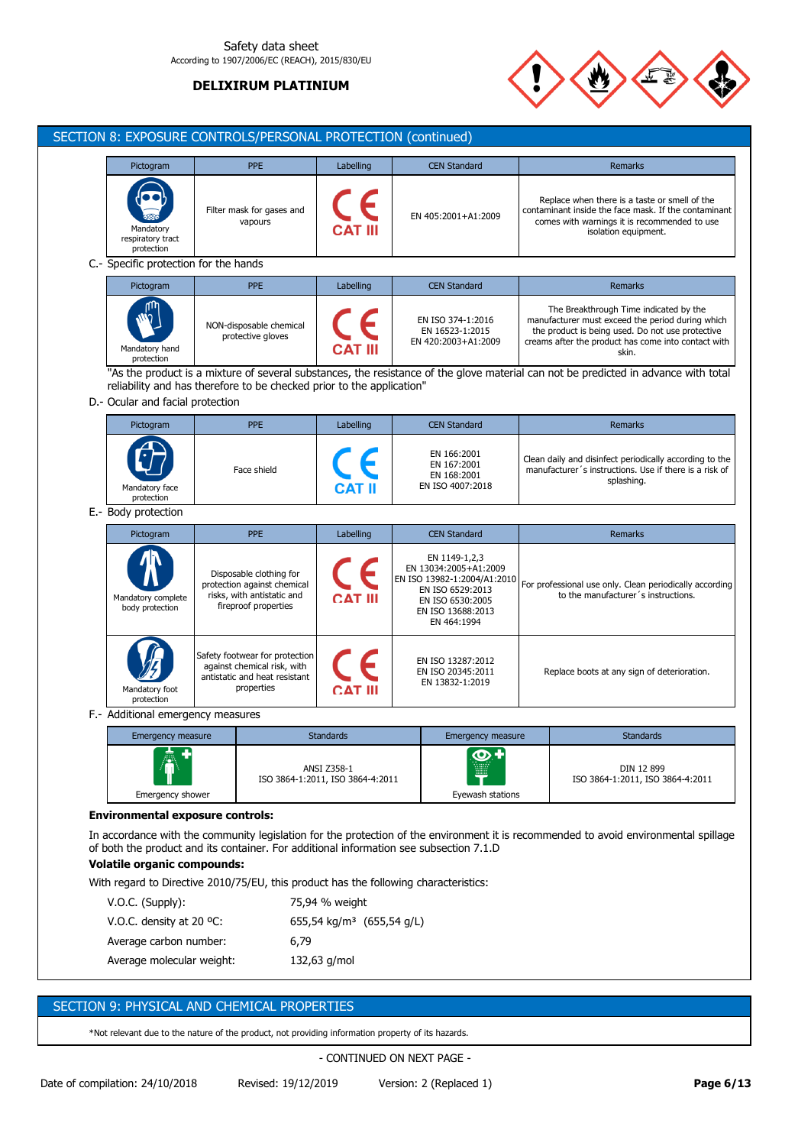## Safety data sheet According to 1907/2006/EC (REACH), 2015/830/EU

# **DELIXIRUM PLATINIUM**



|                                                               | <b>PPE</b>                                                                                                   | Labelling        | <b>CEN Standard</b>                                                                                                                               | Remarks                                                                                                                                                                                                        |
|---------------------------------------------------------------|--------------------------------------------------------------------------------------------------------------|------------------|---------------------------------------------------------------------------------------------------------------------------------------------------|----------------------------------------------------------------------------------------------------------------------------------------------------------------------------------------------------------------|
| Mandatory<br>respiratory tract<br>protection                  | Filter mask for gases and<br>vapours                                                                         |                  | EN 405:2001+A1:2009                                                                                                                               | Replace when there is a taste or smell of the<br>contaminant inside the face mask. If the contaminant<br>comes with warnings it is recommended to use<br>isolation equipment.                                  |
| C.- Specific protection for the hands                         |                                                                                                              |                  |                                                                                                                                                   |                                                                                                                                                                                                                |
| Pictogram                                                     | <b>PPE</b>                                                                                                   | Labelling        | <b>CEN Standard</b>                                                                                                                               | <b>Remarks</b>                                                                                                                                                                                                 |
| Mandatory hand<br>protection                                  | NON-disposable chemical<br>protective gloves                                                                 |                  | EN ISO 374-1:2016<br>EN 16523-1:2015<br>EN 420:2003+A1:2009                                                                                       | The Breakthrough Time indicated by the<br>manufacturer must exceed the period during which<br>the product is being used. Do not use protective<br>creams after the product has come into contact with<br>skin. |
|                                                               |                                                                                                              |                  |                                                                                                                                                   | "As the product is a mixture of several substances, the resistance of the glove material can not be predicted in advance with total                                                                            |
| D.- Ocular and facial protection                              | reliability and has therefore to be checked prior to the application"                                        |                  |                                                                                                                                                   |                                                                                                                                                                                                                |
|                                                               |                                                                                                              |                  |                                                                                                                                                   |                                                                                                                                                                                                                |
| Pictogram                                                     | <b>PPE</b>                                                                                                   | Labelling        | <b>CEN Standard</b>                                                                                                                               | <b>Remarks</b>                                                                                                                                                                                                 |
| Mandatory face<br>protection                                  | Face shield                                                                                                  |                  | EN 166:2001<br>EN 167:2001<br>EN 168:2001<br>EN ISO 4007:2018                                                                                     | Clean daily and disinfect periodically according to the<br>manufacturer's instructions. Use if there is a risk of<br>splashing.                                                                                |
| E.- Body protection                                           |                                                                                                              |                  |                                                                                                                                                   |                                                                                                                                                                                                                |
| Pictogram                                                     | <b>PPE</b>                                                                                                   | Labelling        | <b>CEN Standard</b>                                                                                                                               | Remarks                                                                                                                                                                                                        |
| Mandatory complete                                            | Disposable clothing for<br>protection against chemical<br>risks, with antistatic and<br>fireproof properties | CAT III          | EN 1149-1,2,3<br>EN 13034:2005+A1:2009<br>EN ISO 13982-1:2004/A1:2010<br>EN ISO 6529:2013<br>EN ISO 6530:2005<br>EN ISO 13688:2013<br>EN 464:1994 | For professional use only. Clean periodically according<br>to the manufacturer's instructions.                                                                                                                 |
| body protection                                               |                                                                                                              |                  |                                                                                                                                                   |                                                                                                                                                                                                                |
| Mandatory foot<br>protection                                  | Safety footwear for protection<br>against chemical risk, with<br>antistatic and heat resistant<br>properties | CAT III          | EN ISO 13287:2012<br>EN ISO 20345:2011<br>EN 13832-1:2019                                                                                         | Replace boots at any sign of deterioration.                                                                                                                                                                    |
|                                                               |                                                                                                              |                  |                                                                                                                                                   |                                                                                                                                                                                                                |
| F.- Additional emergency measures<br><b>Emergency measure</b> |                                                                                                              | <b>Standards</b> | <b>Emergency measure</b>                                                                                                                          | <b>Standards</b>                                                                                                                                                                                               |

**Volatile organic compounds:**

With regard to Directive 2010/75/EU, this product has the following characteristics:

| $V.O.C.$ (Supply):                 | 75,94 % weight                        |
|------------------------------------|---------------------------------------|
| V.O.C. density at 20 $^{\circ}$ C: | 655,54 kg/m <sup>3</sup> (655,54 g/L) |
| Average carbon number:             | 6.79                                  |
| Average molecular weight:          | 132,63 g/mol                          |

# SECTION 9: PHYSICAL AND CHEMICAL PROPERTIES

\*Not relevant due to the nature of the product, not providing information property of its hazards.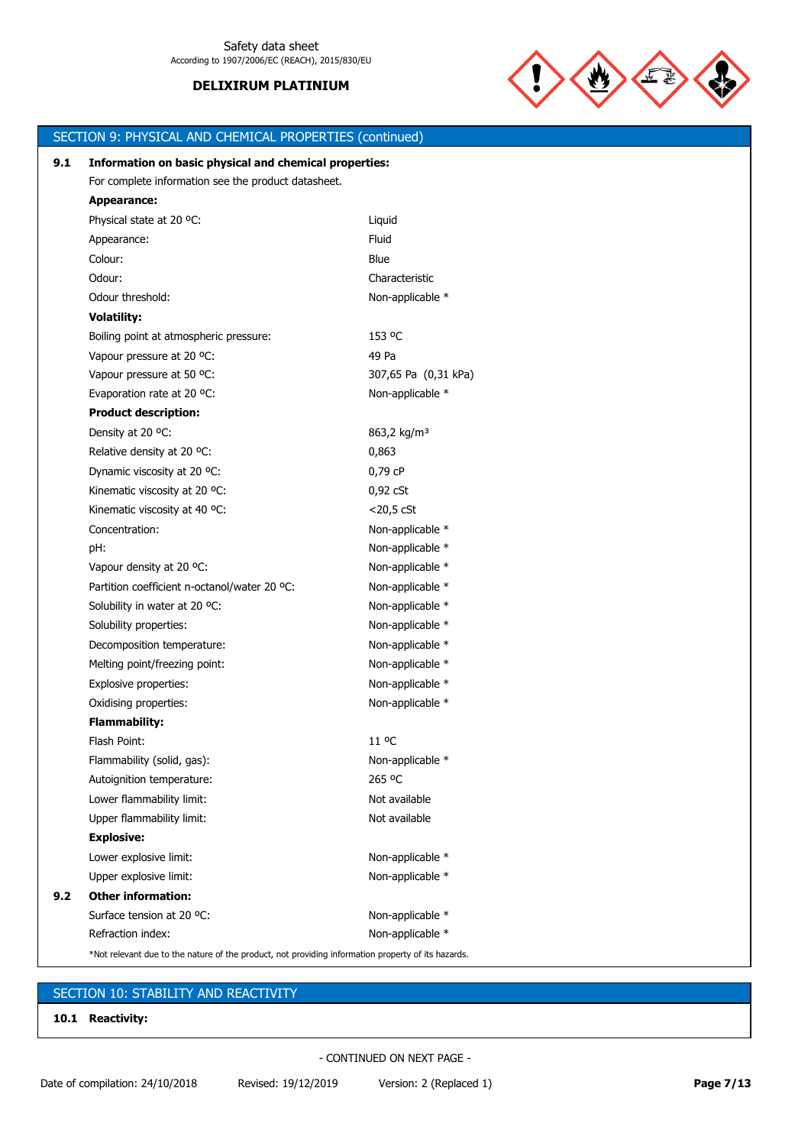

|     | SECTION 9: PHYSICAL AND CHEMICAL PROPERTIES (continued)                                            |                         |
|-----|----------------------------------------------------------------------------------------------------|-------------------------|
| 9.1 | Information on basic physical and chemical properties:                                             |                         |
|     | For complete information see the product datasheet.                                                |                         |
|     | <b>Appearance:</b>                                                                                 |                         |
|     | Physical state at 20 °C:                                                                           | Liquid                  |
|     | Appearance:                                                                                        | Fluid                   |
|     | Colour:                                                                                            | Blue                    |
|     | Odour:                                                                                             | Characteristic          |
|     | Odour threshold:                                                                                   | Non-applicable *        |
|     | <b>Volatility:</b>                                                                                 |                         |
|     | Boiling point at atmospheric pressure:                                                             | 153 °C                  |
|     | Vapour pressure at 20 °C:                                                                          | 49 Pa                   |
|     | Vapour pressure at 50 °C:                                                                          | 307,65 Pa (0,31 kPa)    |
|     | Evaporation rate at 20 °C:                                                                         | Non-applicable *        |
|     | <b>Product description:</b>                                                                        |                         |
|     | Density at 20 °C:                                                                                  | 863,2 kg/m <sup>3</sup> |
|     | Relative density at 20 °C:                                                                         | 0,863                   |
|     | Dynamic viscosity at 20 °C:                                                                        | 0,79 cP                 |
|     | Kinematic viscosity at 20 °C:                                                                      | $0.92$ cSt              |
|     | Kinematic viscosity at 40 °C:                                                                      | $<$ 20,5 $<$ CSt        |
|     | Concentration:                                                                                     | Non-applicable *        |
|     | pH:                                                                                                | Non-applicable *        |
|     | Vapour density at 20 °C:                                                                           | Non-applicable *        |
|     | Partition coefficient n-octanol/water 20 °C:                                                       | Non-applicable *        |
|     | Solubility in water at 20 °C:                                                                      | Non-applicable *        |
|     | Solubility properties:                                                                             | Non-applicable *        |
|     | Decomposition temperature:                                                                         | Non-applicable *        |
|     | Melting point/freezing point:                                                                      | Non-applicable *        |
|     | Explosive properties:                                                                              | Non-applicable *        |
|     | Oxidising properties:                                                                              | Non-applicable *        |
|     | <b>Flammability:</b>                                                                               |                         |
|     | Flash Point:                                                                                       | 11 °C                   |
|     | Flammability (solid, gas):                                                                         | Non-applicable *        |
|     | Autoignition temperature:                                                                          | 265 °C                  |
|     | Lower flammability limit:                                                                          | Not available           |
|     | Upper flammability limit:                                                                          | Not available           |
|     | <b>Explosive:</b>                                                                                  |                         |
|     | Lower explosive limit:                                                                             | Non-applicable *        |
|     | Upper explosive limit:                                                                             | Non-applicable *        |
| 9.2 | <b>Other information:</b>                                                                          |                         |
|     | Surface tension at 20 °C:                                                                          | Non-applicable *        |
|     | Refraction index:                                                                                  | Non-applicable *        |
|     | *Not relevant due to the nature of the product, not providing information property of its hazards. |                         |

# SECTION 10: STABILITY AND REACTIVITY

**10.1 Reactivity:**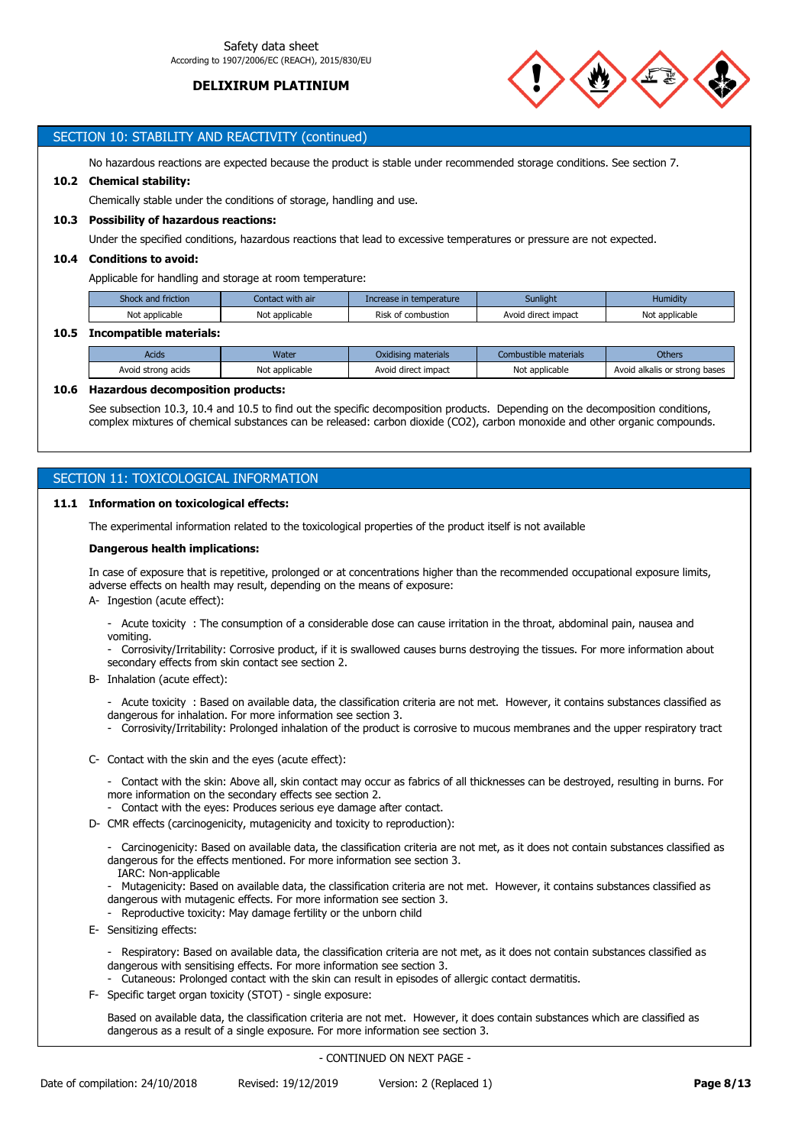

## SECTION 10: STABILITY AND REACTIVITY (continued)

No hazardous reactions are expected because the product is stable under recommended storage conditions. See section 7.

#### **10.2 Chemical stability:**

Chemically stable under the conditions of storage, handling and use.

#### **10.3 Possibility of hazardous reactions:**

Under the specified conditions, hazardous reactions that lead to excessive temperatures or pressure are not expected.

## **10.4 Conditions to avoid:**

Applicable for handling and storage at room temperature:

| Shock and friction | Contact with air | Increase in temperature | Sunlight            | Humiditv       |
|--------------------|------------------|-------------------------|---------------------|----------------|
| Not applicable     | Not applicable   | Risk of combustion      | Avoid direct impact | Not applicable |

## **10.5 Incompatible materials:**

| Acids              | Nater          | Oxidising materials | Combustible materials | Others                        |
|--------------------|----------------|---------------------|-----------------------|-------------------------------|
| Avoid strong acids | Not applicable | Avoid direct impact | Not applicable        | Avoid alkalis or strong bases |

## **10.6 Hazardous decomposition products:**

See subsection 10.3, 10.4 and 10.5 to find out the specific decomposition products. Depending on the decomposition conditions, complex mixtures of chemical substances can be released: carbon dioxide (CO2), carbon monoxide and other organic compounds.

# SECTION 11: TOXICOLOGICAL INFORMATION

## **11.1 Information on toxicological effects:**

The experimental information related to the toxicological properties of the product itself is not available

#### **Dangerous health implications:**

In case of exposure that is repetitive, prolonged or at concentrations higher than the recommended occupational exposure limits, adverse effects on health may result, depending on the means of exposure:

A- Ingestion (acute effect):

- Acute toxicity : The consumption of a considerable dose can cause irritation in the throat, abdominal pain, nausea and vomiting.

- Corrosivity/Irritability: Corrosive product, if it is swallowed causes burns destroying the tissues. For more information about secondary effects from skin contact see section 2.

B- Inhalation (acute effect):

- Acute toxicity : Based on available data, the classification criteria are not met. However, it contains substances classified as dangerous for inhalation. For more information see section 3.

- Corrosivity/Irritability: Prolonged inhalation of the product is corrosive to mucous membranes and the upper respiratory tract
- C- Contact with the skin and the eyes (acute effect):
	- Contact with the skin: Above all, skin contact may occur as fabrics of all thicknesses can be destroyed, resulting in burns. For more information on the secondary effects see section 2.
	- Contact with the eyes: Produces serious eye damage after contact.
- D- CMR effects (carcinogenicity, mutagenicity and toxicity to reproduction):
	- Carcinogenicity: Based on available data, the classification criteria are not met, as it does not contain substances classified as dangerous for the effects mentioned. For more information see section 3.
	- IARC: Non-applicable
	- Mutagenicity: Based on available data, the classification criteria are not met. However, it contains substances classified as dangerous with mutagenic effects. For more information see section 3.
	- Reproductive toxicity: May damage fertility or the unborn child
- E- Sensitizing effects:

- Respiratory: Based on available data, the classification criteria are not met, as it does not contain substances classified as dangerous with sensitising effects. For more information see section 3.

- Cutaneous: Prolonged contact with the skin can result in episodes of allergic contact dermatitis.
- F- Specific target organ toxicity (STOT) single exposure:

Based on available data, the classification criteria are not met. However, it does contain substances which are classified as dangerous as a result of a single exposure. For more information see section 3.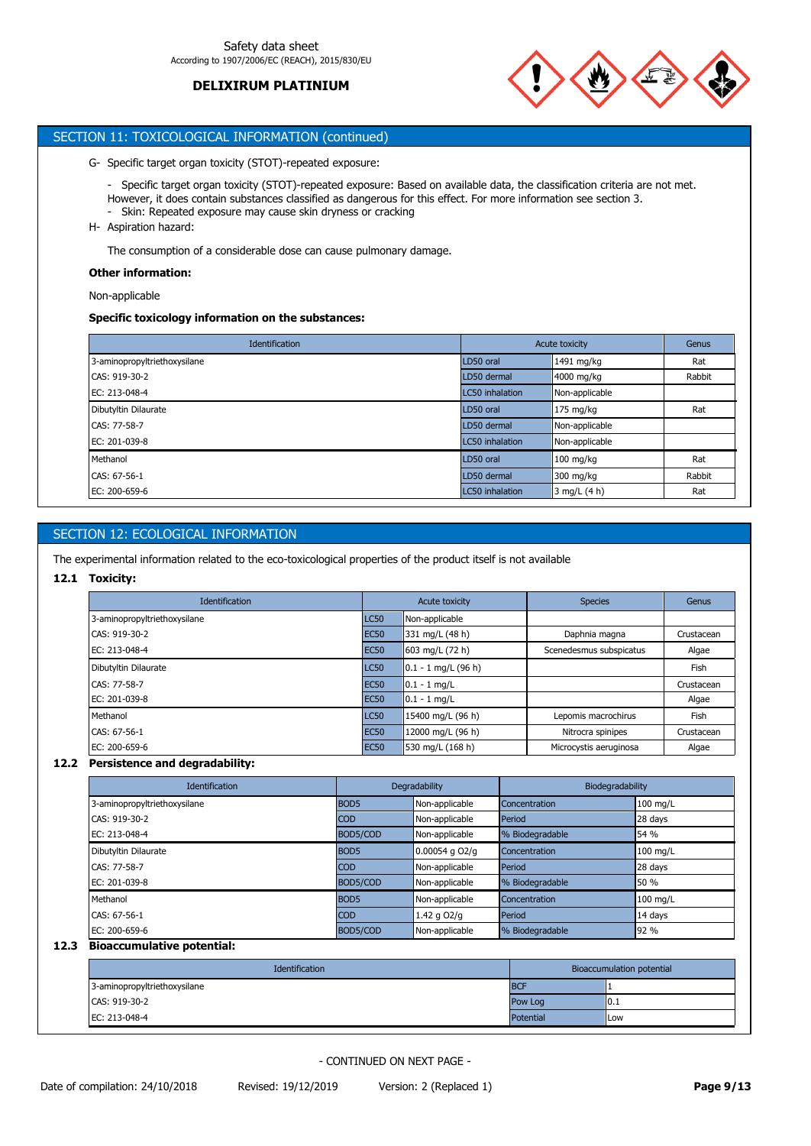

# SECTION 11: TOXICOLOGICAL INFORMATION (continued)

G- Specific target organ toxicity (STOT)-repeated exposure:

- Specific target organ toxicity (STOT)-repeated exposure: Based on available data, the classification criteria are not met. However, it does contain substances classified as dangerous for this effect. For more information see section 3.
- Skin: Repeated exposure may cause skin dryness or cracking
- H- Aspiration hazard:

The consumption of a considerable dose can cause pulmonary damage.

## **Other information:**

Non-applicable

## **Specific toxicology information on the substances:**

| <b>Identification</b>        | Acute toxicity  |                     | Genus  |
|------------------------------|-----------------|---------------------|--------|
| 3-aminopropyltriethoxysilane | LD50 oral       | 1491 mg/kg          | Rat    |
| CAS: 919-30-2                | LD50 dermal     | 4000 mg/kg          | Rabbit |
| EC: 213-048-4                | LC50 inhalation | Non-applicable      |        |
| Dibutyltin Dilaurate         | LD50 oral       | $175 \text{ mg/kg}$ | Rat    |
| CAS: 77-58-7                 | LD50 dermal     | Non-applicable      |        |
| EC: 201-039-8                | LC50 inhalation | Non-applicable      |        |
| Methanol                     | LD50 oral       | $100$ mg/kg         | Rat    |
| CAS: 67-56-1                 | LD50 dermal     | 300 mg/kg           | Rabbit |
| EC: 200-659-6                | LC50 inhalation | 3 mg/L (4 h)        | Rat    |

# SECTION 12: ECOLOGICAL INFORMATION

The experimental information related to the eco-toxicological properties of the product itself is not available

## **12.1 Toxicity:**

| <b>Identification</b>        |             | Acute toxicity                     | <b>Species</b>          | Genus      |
|------------------------------|-------------|------------------------------------|-------------------------|------------|
| 3-aminopropyltriethoxysilane | <b>LC50</b> | Non-applicable                     |                         |            |
| CAS: 919-30-2                | <b>EC50</b> | 331 mg/L (48 h)                    | Daphnia magna           | Crustacean |
| EC: 213-048-4                | <b>EC50</b> | $1603 \text{ mg/L} (72 \text{ h})$ | Scenedesmus subspicatus | Algae      |
| Dibutyltin Dilaurate         | <b>LC50</b> | $0.1 - 1$ mg/L (96 h)              |                         | Fish       |
| CAS: 77-58-7                 | <b>EC50</b> | $ 0.1 - 1$ mg/L                    |                         | Crustacean |
| EC: 201-039-8                | <b>EC50</b> | $ 0.1 - 1$ mg/L                    |                         | Algae      |
| Methanol                     | <b>LC50</b> | 15400 mg/L (96 h)                  | Lepomis macrochirus     | Fish       |
| CAS: 67-56-1                 | <b>EC50</b> | 12000 mg/L (96 h)                  | Nitrocra spinipes       | Crustacean |
| EC: 200-659-6                | <b>EC50</b> | 530 mg/L (168 h)                   | Microcystis aeruginosa  | Algae      |

## **12.2 Persistence and degradability:**

| <b>Identification</b>        |                  | Degradability    | Biodegradability |            |
|------------------------------|------------------|------------------|------------------|------------|
| 3-aminopropyltriethoxysilane | BOD <sub>5</sub> | Non-applicable   | Concentration    | $100$ mg/L |
| CAS: 919-30-2                | <b>COD</b>       | Non-applicable   | Period           | 28 days    |
| EC: 213-048-4                | BOD5/COD         | Non-applicable   | % Biodegradable  | 54 %       |
| Dibutyltin Dilaurate         | BOD <sub>5</sub> | $0.00054$ g O2/g | Concentration    | 100 mg/L   |
| CAS: 77-58-7                 | <b>COD</b>       | Non-applicable   | Period           | 28 days    |
| EC: 201-039-8                | BOD5/COD         | Non-applicable   | % Biodegradable  | 50 %       |
| Methanol                     | BOD <sub>5</sub> | Non-applicable   | Concentration    | 100 mg/L   |
| CAS: 67-56-1                 | <b>COD</b>       | 1.42 g $O2/q$    | Period           | 14 days    |
| EC: 200-659-6                | BOD5/COD         | Non-applicable   | % Biodegradable  | 192 %      |

# **12.3 Bioaccumulative potential:**

| <b>Identification</b>        |            | Bioaccumulation potential |  |
|------------------------------|------------|---------------------------|--|
| 3-aminopropyltriethoxysilane | <b>BCF</b> |                           |  |
| CAS: 919-30-2                | Pow Log    | 10.1                      |  |
| EC: 213-048-4                | Potential  | Low                       |  |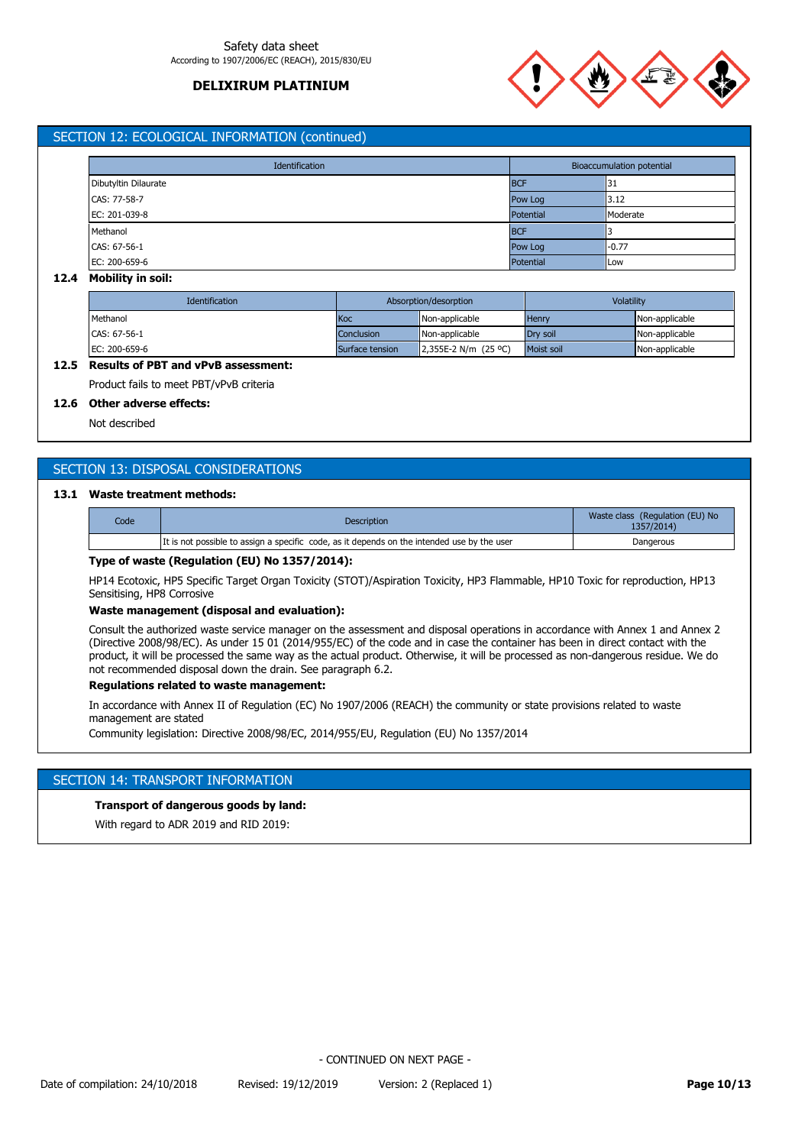

## SECTION 12: ECOLOGICAL INFORMATION (continued)

| Identification       |            | Bioaccumulation potential |  |  |
|----------------------|------------|---------------------------|--|--|
| Dibutyltin Dilaurate | <b>BCF</b> | 31                        |  |  |
| CAS: 77-58-7         | Pow Log    | 3.12                      |  |  |
| EC: 201-039-8        | Potential  | Moderate                  |  |  |
| Methanol             | <b>BCF</b> |                           |  |  |
| CAS: 67-56-1         | Pow Log    | $-0.77$                   |  |  |
| EC: 200-659-6        | Potential  | Low                       |  |  |

### **12.4 Mobility in soil:**

| <b>Identification</b> | Absorption/desorption |                      | Volatility        |                |
|-----------------------|-----------------------|----------------------|-------------------|----------------|
| Methanol              | <b>Koc</b>            | Non-applicable       | Henry             | Non-applicable |
| CAS: 67-56-1          | Conclusion            | Non-applicable       | Drv soil          | Non-applicable |
| EC: 200-659-6         | Surface tension       | 2.355E-2 N/m (25 °C) | <b>Moist soil</b> | Non-applicable |

# **12.5 Results of PBT and vPvB assessment:**

Product fails to meet PBT/vPvB criteria

## **12.6 Other adverse effects:**

Not described

# SECTION 13: DISPOSAL CONSIDERATIONS

## **13.1 Waste treatment methods:**

| Code | <b>Description</b>                                                                          | Waste class (Regulation (EU) No<br>1357/2014) |
|------|---------------------------------------------------------------------------------------------|-----------------------------------------------|
|      | It is not possible to assign a specific code, as it depends on the intended use by the user | Dangerous                                     |

## **Type of waste (Regulation (EU) No 1357/2014):**

HP14 Ecotoxic, HP5 Specific Target Organ Toxicity (STOT)/Aspiration Toxicity, HP3 Flammable, HP10 Toxic for reproduction, HP13 Sensitising, HP8 Corrosive

#### **Waste management (disposal and evaluation):**

Consult the authorized waste service manager on the assessment and disposal operations in accordance with Annex 1 and Annex 2 (Directive 2008/98/EC). As under 15 01 (2014/955/EC) of the code and in case the container has been in direct contact with the product, it will be processed the same way as the actual product. Otherwise, it will be processed as non-dangerous residue. We do not recommended disposal down the drain. See paragraph 6.2.

## **Regulations related to waste management:**

In accordance with Annex II of Regulation (EC) No 1907/2006 (REACH) the community or state provisions related to waste management are stated

Community legislation: Directive 2008/98/EC, 2014/955/EU, Regulation (EU) No 1357/2014

## SECTION 14: TRANSPORT INFORMATION

### **Transport of dangerous goods by land:**

With regard to ADR 2019 and RID 2019: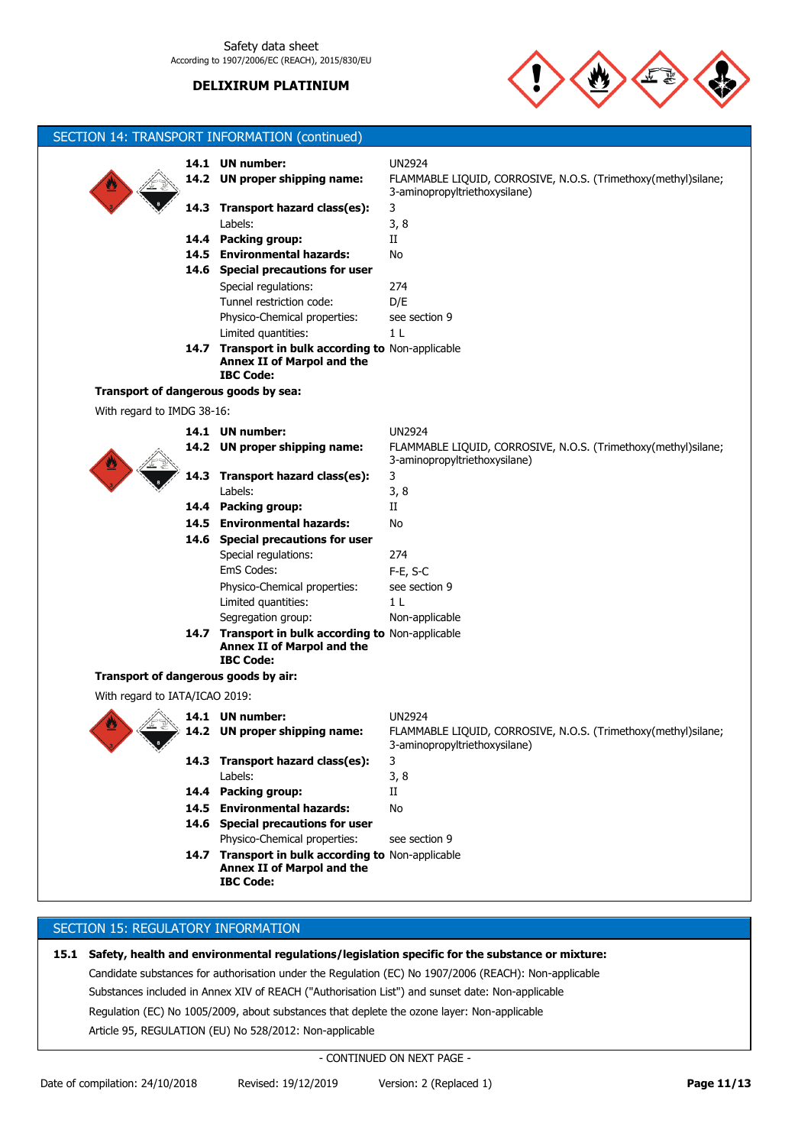

|                                      |      | SECTION 14: TRANSPORT INFORMATION (continued)                                                        |                                                                                                 |
|--------------------------------------|------|------------------------------------------------------------------------------------------------------|-------------------------------------------------------------------------------------------------|
|                                      |      |                                                                                                      |                                                                                                 |
|                                      |      | 14.1 UN number:                                                                                      | <b>UN2924</b>                                                                                   |
|                                      |      | 14.2 UN proper shipping name:                                                                        | FLAMMABLE LIQUID, CORROSIVE, N.O.S. (Trimethoxy(methyl)silane;<br>3-aminopropyltriethoxysilane) |
|                                      | 14.3 | Transport hazard class(es):                                                                          | 3                                                                                               |
|                                      |      | Labels:                                                                                              | 3, 8                                                                                            |
|                                      |      | 14.4 Packing group:                                                                                  | П                                                                                               |
|                                      |      | 14.5 Environmental hazards:                                                                          | No                                                                                              |
|                                      |      | 14.6 Special precautions for user                                                                    |                                                                                                 |
|                                      |      | Special regulations:                                                                                 | 274                                                                                             |
|                                      |      | Tunnel restriction code:                                                                             | D/E                                                                                             |
|                                      |      | Physico-Chemical properties:                                                                         | see section 9                                                                                   |
|                                      |      | Limited quantities:                                                                                  | 1 L                                                                                             |
|                                      |      | 14.7 Transport in bulk according to Non-applicable<br>Annex II of Marpol and the<br><b>IBC Code:</b> |                                                                                                 |
| Transport of dangerous goods by sea: |      |                                                                                                      |                                                                                                 |
| With regard to IMDG 38-16:           |      |                                                                                                      |                                                                                                 |
|                                      |      | 14.1 UN number:                                                                                      | <b>UN2924</b>                                                                                   |
|                                      |      | 14.2 UN proper shipping name:                                                                        | FLAMMABLE LIQUID, CORROSIVE, N.O.S. (Trimethoxy(methyl)silane;                                  |
|                                      |      |                                                                                                      | 3-aminopropyltriethoxysilane)                                                                   |
|                                      | 14.3 | Transport hazard class(es):                                                                          | 3                                                                                               |
|                                      |      | Labels:                                                                                              | 3, 8                                                                                            |
|                                      |      | 14.4 Packing group:                                                                                  | П                                                                                               |
|                                      |      | 14.5 Environmental hazards:                                                                          | No                                                                                              |
|                                      |      | 14.6 Special precautions for user                                                                    |                                                                                                 |
|                                      |      | Special regulations:                                                                                 | 274                                                                                             |
|                                      |      | EmS Codes:                                                                                           | $F-E$ , S-C                                                                                     |
|                                      |      | Physico-Chemical properties:                                                                         | see section 9                                                                                   |
|                                      |      | Limited quantities:                                                                                  | 1 L                                                                                             |
|                                      |      | Segregation group:                                                                                   | Non-applicable                                                                                  |
|                                      |      | 14.7 Transport in bulk according to Non-applicable<br>Annex II of Marpol and the<br><b>IBC Code:</b> |                                                                                                 |
| Transport of dangerous goods by air: |      |                                                                                                      |                                                                                                 |
| With regard to IATA/ICAO 2019:       |      |                                                                                                      |                                                                                                 |
|                                      |      | 14.1 UN number:                                                                                      | UN2924                                                                                          |
|                                      |      | 14.2 UN proper shipping name:                                                                        | FLAMMABLE LIQUID, CORROSIVE, N.O.S. (Trimethoxy(methyl)silane;<br>3-aminopropyltriethoxysilane) |
|                                      |      | 14.3 Transport hazard class(es):                                                                     | 3                                                                                               |
|                                      |      | Labels:                                                                                              | 3, 8                                                                                            |
|                                      |      | 14.4 Packing group:                                                                                  | П                                                                                               |
|                                      |      | 14.5 Environmental hazards:                                                                          | No                                                                                              |
|                                      |      | 14.6 Special precautions for user                                                                    |                                                                                                 |
|                                      |      | Physico-Chemical properties:                                                                         | see section 9                                                                                   |
|                                      |      | 14.7 Transport in bulk according to Non-applicable<br>Annex II of Marpol and the<br><b>IBC Code:</b> |                                                                                                 |
|                                      |      |                                                                                                      |                                                                                                 |

# SECTION 15: REGULATORY INFORMATION

**15.1 Safety, health and environmental regulations/legislation specific for the substance or mixture:** Candidate substances for authorisation under the Regulation (EC) No 1907/2006 (REACH): Non-applicable Substances included in Annex XIV of REACH ("Authorisation List") and sunset date: Non-applicable Regulation (EC) No 1005/2009, about substances that deplete the ozone layer: Non-applicable Article 95, REGULATION (EU) No 528/2012: Non-applicable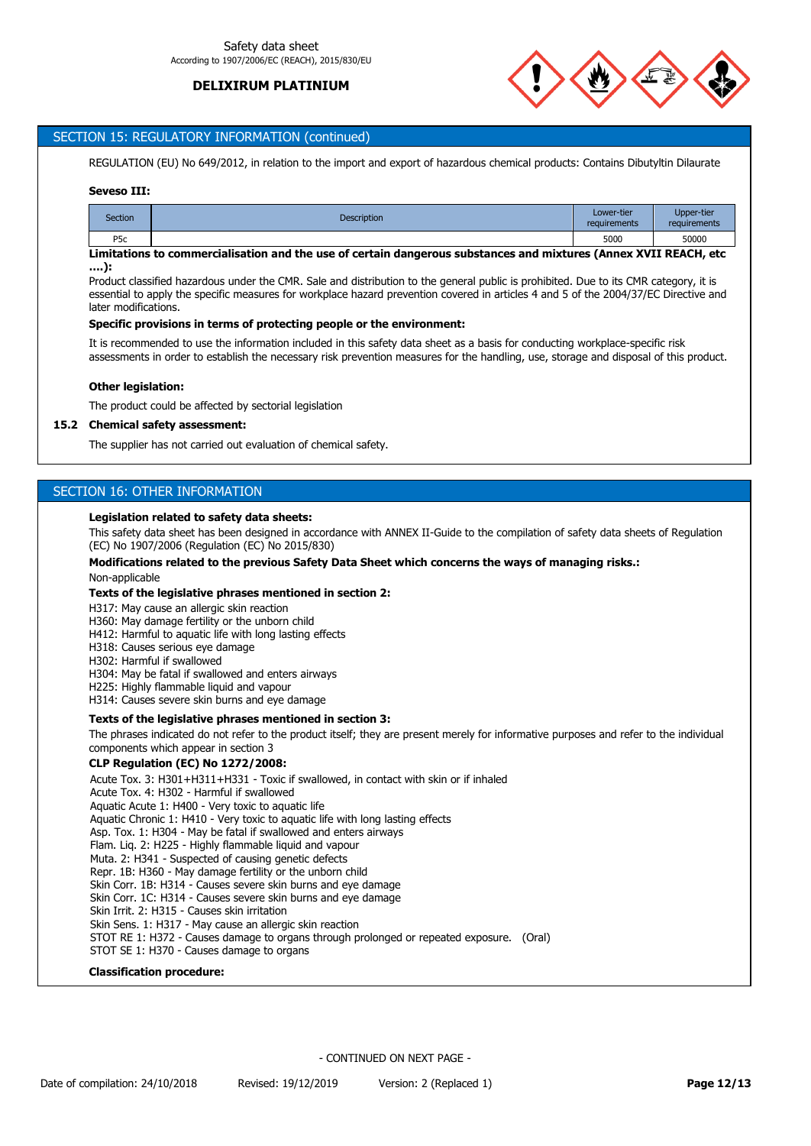

# SECTION 15: REGULATORY INFORMATION (continued)

REGULATION (EU) No 649/2012, in relation to the import and export of hazardous chemical products: Contains Dibutyltin Dilaurate

## **Seveso III:**

| <b>Section</b> | <b>Description</b> | Lower-tier<br>requirements | <b>Upper-tier</b><br>requirements |
|----------------|--------------------|----------------------------|-----------------------------------|
| P5c            |                    | 5000                       | 50000                             |

## **Limitations to commercialisation and the use of certain dangerous substances and mixtures (Annex XVII REACH, etc ….):**

Product classified hazardous under the CMR. Sale and distribution to the general public is prohibited. Due to its CMR category, it is essential to apply the specific measures for workplace hazard prevention covered in articles 4 and 5 of the 2004/37/EC Directive and later modifications.

#### **Specific provisions in terms of protecting people or the environment:**

It is recommended to use the information included in this safety data sheet as a basis for conducting workplace-specific risk assessments in order to establish the necessary risk prevention measures for the handling, use, storage and disposal of this product.

#### **Other legislation:**

The product could be affected by sectorial legislation

#### **15.2 Chemical safety assessment:**

The supplier has not carried out evaluation of chemical safety.

# SECTION 16: OTHER INFORMATION

#### **Legislation related to safety data sheets:**

This safety data sheet has been designed in accordance with ANNEX II-Guide to the compilation of safety data sheets of Regulation (EC) No 1907/2006 (Regulation (EC) No 2015/830)

#### **Modifications related to the previous Safety Data Sheet which concerns the ways of managing risks.:**

Non-applicable

#### **Texts of the legislative phrases mentioned in section 2:**

H317: May cause an allergic skin reaction

H360: May damage fertility or the unborn child

- H412: Harmful to aquatic life with long lasting effects
- H318: Causes serious eye damage
- H302: Harmful if swallowed
- H304: May be fatal if swallowed and enters airways
- H225: Highly flammable liquid and vapour
- H314: Causes severe skin burns and eye damage

## **Texts of the legislative phrases mentioned in section 3:**

The phrases indicated do not refer to the product itself; they are present merely for informative purposes and refer to the individual components which appear in section 3

#### **CLP Regulation (EC) No 1272/2008:**

Acute Tox. 3: H301+H311+H331 - Toxic if swallowed, in contact with skin or if inhaled

Acute Tox. 4: H302 - Harmful if swallowed Aquatic Acute 1: H400 - Very toxic to aquatic life Aquatic Chronic 1: H410 - Very toxic to aquatic life with long lasting effects Asp. Tox. 1: H304 - May be fatal if swallowed and enters airways Flam. Liq. 2: H225 - Highly flammable liquid and vapour Muta. 2: H341 - Suspected of causing genetic defects Repr. 1B: H360 - May damage fertility or the unborn child Skin Corr. 1B: H314 - Causes severe skin burns and eye damage Skin Corr. 1C: H314 - Causes severe skin burns and eye damage Skin Irrit. 2: H315 - Causes skin irritation Skin Sens. 1: H317 - May cause an allergic skin reaction STOT RE 1: H372 - Causes damage to organs through prolonged or repeated exposure. (Oral) STOT SE 1: H370 - Causes damage to organs

#### **Classification procedure:**